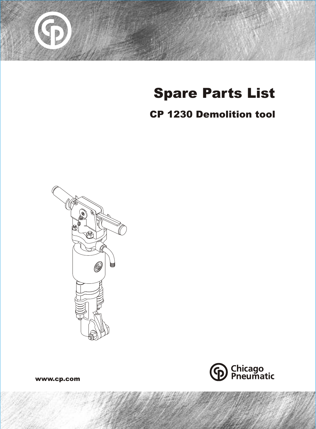

# Spare Parts List

# CP 1230 Demolition tool





www.cp.com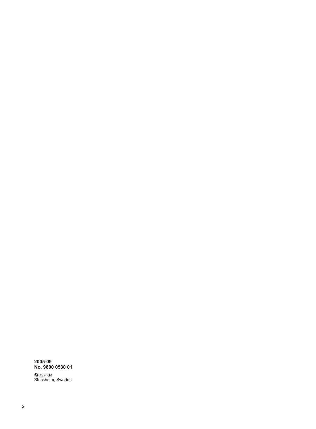#### **2005-09 No. 9800 0530 01**

© <sub>Copyright</sub><br>Stockholm, Sweden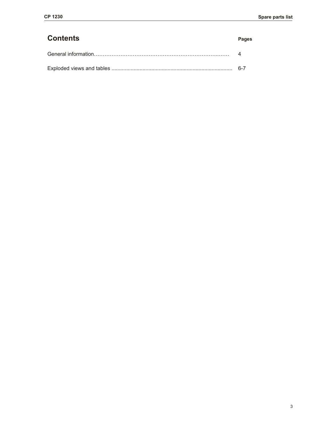| <b>Contents</b> | <b>Pages</b> |
|-----------------|--------------|
|                 |              |
|                 |              |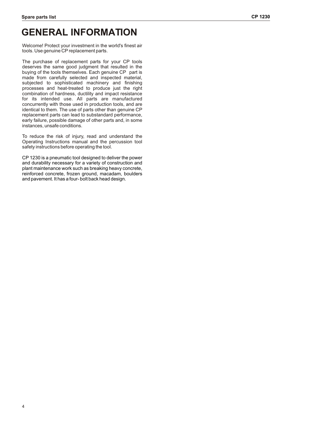## **GENERAL INFORMATION**

Welcome! Protect your investment in the world's finest air tools. Use genuine CP replacement parts.

The purchase of replacement parts for your CP tools deserves the same good judgment that resulted in the buying of the tools themselves. Each genuine CP part is made from carefully selected and inspected material, subjected to sophisticated machinery and finishing processes and heat-treated to produce just the right combination of hardness, ductility and impact resistance for its intended use. All parts are manufactured concurrently with those used in production tools, and are identical to them. The use of parts other than genuine CP replacement parts can lead to substandard performance, early failure, possible damage of other parts and, in some instances, unsafe conditions.

To reduce the risk of injury, read and understand the Operating Instructions manual and the percussion tool safety instructions before operating the tool.

CP 1230 is a pneumatic tool designed to deliver the power and durability necessary for a variety of construction and plant maintenance work such as breaking heavy concrete, reinforced concrete, frozen ground, macadam, boulders and pavement. It has a four- bolt back head design.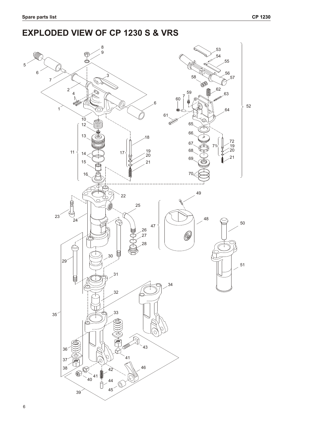### **EXPLODED VIEW OF CP 1230 S & VRS**

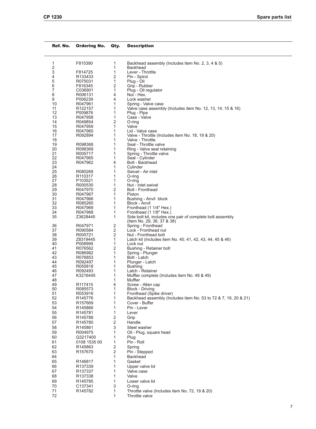| Ref. No.          | <b>Ordering No.</b> | Qty.                    | <b>Description</b>                                                   |
|-------------------|---------------------|-------------------------|----------------------------------------------------------------------|
| 1                 | F815390             | 1                       | Backhead assembly (Includes item No. 2, 3, 4 & 5)                    |
| 2                 |                     | 1                       | <b>Backhead</b>                                                      |
| 3                 | F814725             | 1                       | Lever - Throttle                                                     |
| 4                 | R133433             | 2                       | Pin - Spirol                                                         |
| 5                 | R075031             | 1                       | Plug - Oil                                                           |
| 6                 | F816345             | 2                       | Grip - Rubber                                                        |
| 7<br>8            | C036901<br>R006131  | 1<br>4                  | Plug - Oil regulator<br>Nut - Hex.                                   |
| 9                 | P006239             | 4                       | Lock washer                                                          |
| 10                | R047961             | 1                       | Spring - Valve case                                                  |
| 11                | R <sub>122157</sub> | 1                       | Valve case assembly (Includes item No. 12, 13, 14, 15 & 16)          |
| $12 \overline{ }$ | P009876             | 1                       | Plug - Pipe                                                          |
| 13                | R047958             | 1                       | Case - Valve                                                         |
| 14                | R049854             | 2                       | O-ring                                                               |
| 15                | R047959             | 1                       | Valve                                                                |
| 16                | R047960             | 1<br>1                  | Lid - Valve case                                                     |
| 17<br>18          | R092894             | 1                       | Valve - Throttle (Includes item No. 18, 19 & 20)<br>Valve - Throttle |
| 19                | R098368             | 1                       | Seal - Throttle valve                                                |
| 20                | R098369             | 1                       | Ring - Valve seal retaining                                          |
| 21                | R005717             | 1                       | Spring - Throttle valve                                              |
| 22                | R047965             | 1                       | Seal - Cylinder                                                      |
| 23                | R047962             | 4                       | Bolt - Backhead                                                      |
| 24                |                     | 1                       | Cylinder                                                             |
| 25                | R085269             | 1                       | Swivel - Air inlet                                                   |
| 26                | R <sub>110317</sub> | 1                       | O-ring                                                               |
| 27<br>28          | P103521             | 1<br>1                  | O-ring                                                               |
| 29                | R000530<br>R047970  | 2                       | Nut - Inlet swivel<br><b>Bolt - Fronthead</b>                        |
| 30                | R047967             | 1                       | Piston                                                               |
| 31                | R047966             | 1                       | Bushing - Anvil block                                                |
| 32                | R085260             | 1                       | Block - Anvil                                                        |
| 33                | R047969             | 1                       | Fronthead (1 1/4" Hex.)                                              |
| 34                | R047968             | 1                       | Fronthead (1 1/8" Hex.)                                              |
| 35                | Z3628445            | 1                       | Side bolt kit, includes one pair of complete bolt assembly           |
|                   |                     |                         | (Item No. 29, 36, 37 & 38)                                           |
| 36                | R047971             | 2                       | Spring - Fronthead                                                   |
| 37<br>38          | R090584<br>R005721  | 2<br>2                  | Lock - Fronthead nut<br>Nut - Fronthead bolt                         |
| 39                | Z8319445            | 1                       | Latch kit (Includes item No. 40, 41, 42, 43, 44, 45 & 46)            |
| 40                | P008999             | 1                       | Lock nut                                                             |
| 41                | R076562             | 2                       | Bushing - Retainer bolt                                              |
| 42                | R086982             | 1                       | Spring - Plunger                                                     |
| 43                | R076853             | 1                       | Bolt - Latch                                                         |
| 44                | R092497             | 1                       | Plunger - Latch                                                      |
| 45                | R055818             | 1                       | <b>Bushing</b>                                                       |
| 46                | R092493             | 1                       | Latch - Retainer                                                     |
| 47                | K3216445            | 1                       | Muffler complete (Includes item No. 48 & 49)                         |
| 48<br>49          | R <sub>117415</sub> | 1<br>4                  | Muffler<br>Screw - Allen cap                                         |
| 50                | R085573             | 1                       | Block - Driving                                                      |
| 51                | R053916             | 1                       | Fronthead (Spike driver)                                             |
| 52                | R145776             | 1                       | Backhead assembly (Includes item No. 53 to 72 & 7, 19, 20 & 21)      |
| 53                | R <sub>157669</sub> | 1                       | Cover - Buffer                                                       |
| 54                | R145866             | 1                       | Pin - Lever                                                          |
| 55                | R145781             | 1                       | Lever                                                                |
| 56                | R145788             | 2                       | Grip                                                                 |
| 57                | R145780             | $\overline{\mathbf{c}}$ | Handle                                                               |
| 58                | R145861             | 3                       | Steel washer                                                         |
| 59                | R004975             | 1                       | Oil - Plug, square head                                              |
| 60                | Q3217400            | 1                       | Plug                                                                 |
| 61                | 0108 1535 00        | 1                       | Pin - Roll                                                           |
| 62                | R145863             | 2                       | Spring                                                               |
| 63                | R157670             | $\overline{2}$          | Pin - Stepped                                                        |
| 64                |                     | 1                       | <b>Backhead</b>                                                      |
| 65                | R146817             | 1                       | Gasket                                                               |
| 66                | R137339             | 1                       | Upper valve lid                                                      |
| 67                | R137337             | 1                       | Valve case                                                           |
| 68                | R137338             | 1                       | Valve                                                                |
| 69                | R <sub>145785</sub> | 1                       | Lower valve lid                                                      |
| 70                | C137341             | 3                       | O-ring                                                               |
| 71                | R145782             | 1                       | Throttle valve (Includes item No. 72, 19 & 20)                       |
| 72                |                     | 1                       | Throttle valve                                                       |